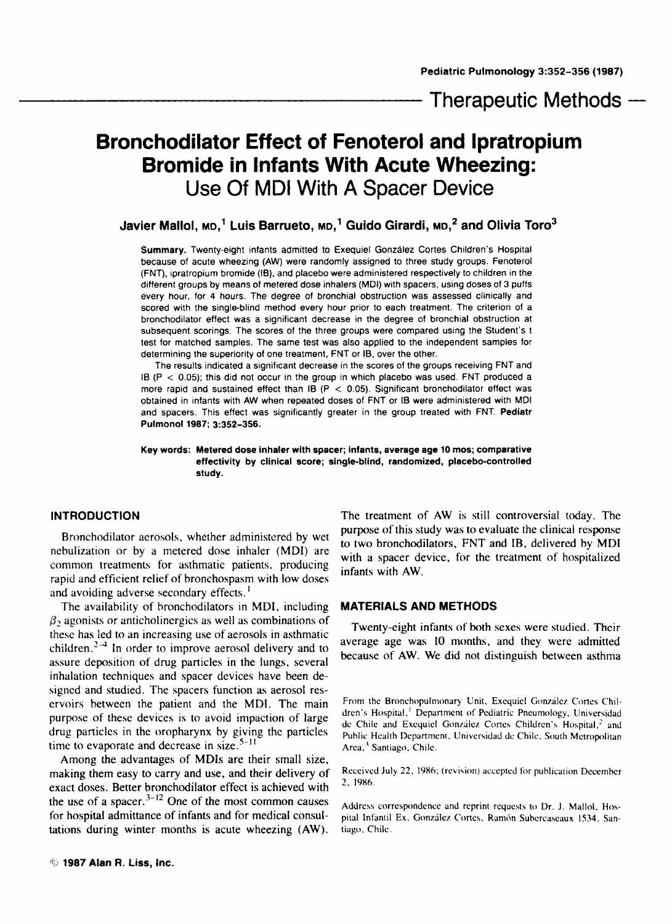Therapeutic Methods  $-$ 

# **Bronchodilator Effect of Fenoterol and lpratropium Bromide in Infants With Acute Wheezing:**  Use Of MDI With **A** Spacer Device

Javier Mallol, <sub>MD</sub>,<sup>1</sup> Luis Barrueto, <sub>MD</sub>,<sup>1</sup> Guido Girardi, <sub>MD</sub>,<sup>2</sup> and Olivia Toro<sup>3</sup>

**Summary.** Twenty-eight infants admitted to Exequiel Gonzdlez Cortes Children's Hospital because of acute wheezing **(AW)** were randomly assigned to three study groups. Fenoterol (FNT), ipratropium bromide **(15).** and placebo were administered respectively to children in the different groups by means *of* metered dose inhalers **(MDI)** with spacers, using doses of **3** puffs every hour, for **4** hours. The degree of bronchial obstruction was assessed clinically and scored with the single-blind method every hour prior to each treatment. The criterion of a bronchodilator effect was a significant decrease in the degree of bronchial obstruction at subsequent scorings. The scores of the three groups were compared using the Student's t test for matched samples. The same test was also applied to the independent samples for determining the superiority of one treatment, FNT or IB, over the other.

The results indicated a significant decrease in the scores of the groups receiving FNT and IB **(P** < 0.05); this did not occur in the group in which placebo was used. FNT produced a more rapid and sustained effect than IB ( $P < 0.05$ ). Significant bronchodilator effect was obtained in infants with **AW** when repeated doses of FNT or **I8** were administered with **MDI**  and spacers. This effect was significantly greater in the group treated with FNT. **Pediatr Pulmonol 1987; 3:352-356.** 

**Key words: Metered dose inhaler with spacer; infants, average age 10 mos; comparative effectivity by clinical score; single-blind, randomized, placebo-controlled study.** 

## **INTRODUCTION**

Bronchodilator aerosols, whether administered by wet nebulization or by a metered dose inhaler (MDI) are common treatments for asthmatic patients. producing rapid and efficient relief of bronchospasm with low doses and avoiding adverse secondary effects. **<sup>I</sup>**

The availability of bronchodilators in MDI, including  $\beta_2$  agonists or anticholinergics as well as combinations of these has led to an increasing use of aerosols in asthmatic children. $2-4$  In order to improve aerosol delivery and to assure deposition of drug particles in the lungs, several inhalation techniques and spacer devices have been designed and studied. The spacers function as aerosol reservoirs between the patient and the MDI. The main purpose of these devices is to avoid impaction of large drug particles in the oropharynx by giving the particles time to evaporate and decrease in size. $5-11$ 

Among the advantages of MDIs are their small size, making them easy to carry and use, and their delivery of exact doses. Better bronchodilator effect is achieved with the use of a spacer. $3-12$  One of the most common causes for hospital admittance of infants and for medical consultations during winter months is acute wheezing (AW).

The treatment of AW is still controversial today. The purpose of this study was to evaluate the clinical response to two bronchodilators. FNT and **IB,** delivered by MDI with a spacer device, for the treatment of hospitalized infants with AW.

#### **MATERIALS AND METHODS**

Twenty-eight infants of both sexes were studied. Their average age was 10 months, and they were admitted because of AW. We did not distinguish between asthma

From the Bronchopulmonary Unit. Exequiel González Cortes Children's Hospital,<sup>1</sup> Department of Pediatric Pneumology. Universidad de Chile and Exequiel González Cortes Children's Hospital,<sup>2</sup> and Public Health Department. Univcrsidad dc Chilc. South Mctropolitan **Area.'** Santiago. Chilc.

Received July 22, 1986: (revision) accepted for publication December 2. 19x6.

Address correspondence and reprint requests to Dr. J. Mallol, Hospital Infantil Ex. Gonzilcz Cones. Ramdn Subcrcaseaux **1534.** Santiago. Chile.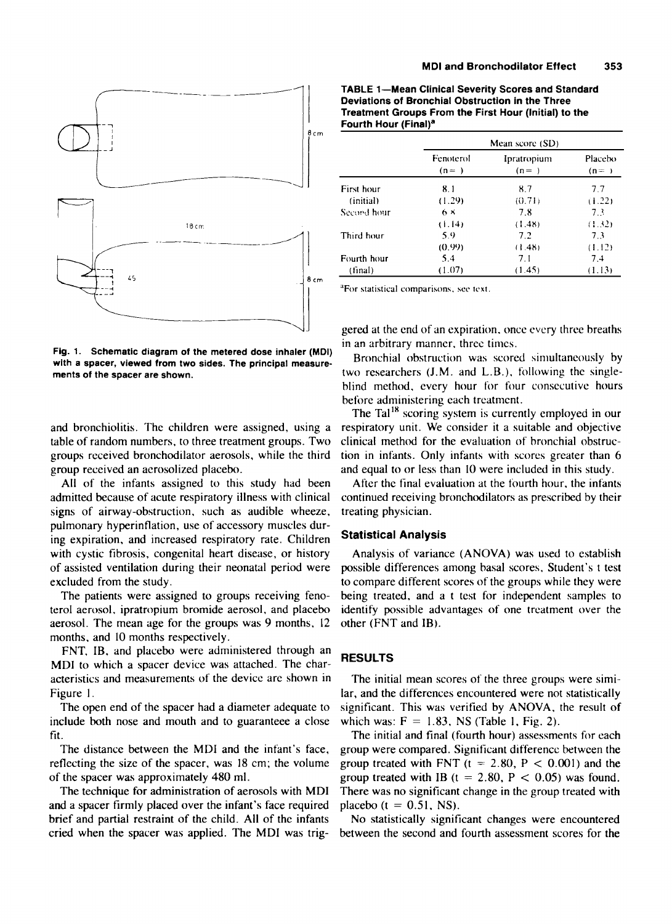

**Fig. 1. Schematic diagram of the metered dose inhaler (MDI) with a spacer, viewed from two sides. The principal measuremerits of the spacer are shown.** 

group received an aerosolized placebo. and equal to or less than 10 were included in this study.

All of the infants assigned to this study had been After the final evaluation at the fourth hour. the infants **signs** of airway-obstruction, such as audible wheeze, treating physician. pulmonary hyperinflation, use of accessory muscles during expiration, and increased respiratory rate. Children with cystic fibrosis, congenital heart disease, or history of assisted ventilation during their neonatal period were excluded from the study.

The patients were assigned to groups receiving fenoterol aerosol, ipratropium bromide aerosol, and placebo aerosol. The mean age for the groups was **9** months, 12 months. and 10 months respectively.

FNT, IB, and placebo were administered through an MDI to which a spacer device was attached. The characteristics and measurements of the device are shown in Figure I.

The open end of the spacer had a diameter adequate to include both nose and mouth and to guaranteee **a** close fit.

The distance between the MDI and the infant's face, reflecting the size of the spacer, was 18 cm; the volume of the spacer was approximately 480 ml.

The technique for administration of aerosols with MDI and a spacer firmly placed over the infant's face required brief and partial restraint of the child. All of the infants cried when the spacer was applied. The MDI was trig-

**TABLE 1-Mean Clinical Severity Scores and Standard Deviations of Bronchial Obstruction in the Three Treatment Groups From the First Hour (Initial) to the Fourth Hour (Final)\*** 

|      |             | Mean score (SD)    |                        |                     |
|------|-------------|--------------------|------------------------|---------------------|
|      |             | Fenoterol<br>$(n=$ | Ipratropium<br>$(n= )$ | Placebo<br>$(n = )$ |
|      | First hour  | 8.1                | 8.7                    | 7.7                 |
|      | (initial)   | (1.29)             | (0.71)                 | (1.22)              |
|      | Secord hour | $6 \times$         | 7.8                    | 7.3                 |
| 18cm |             | (1.14)             | (1.48)                 | (1.32)              |
|      | Third hour  | 5.9                | 7.2                    | 7.3                 |
|      |             | (0.99)             | (1.48)                 | (1.12)              |
|      | Fourth hour | 5.4                | 7.1                    | 7.4                 |
|      | (final)     | (1.07)             | (1.45)                 | (1.13)              |

gered at the end of an expiration, once every three breaths in an arbitrary manner, thrcc timcs.

Bronchial obstruction was scored simultaneously by two researchers (J.M. and L.B.). following the singleblind method, every hour for four consecutive hours before administering each treatment.

The Tal<sup>18</sup> scoring system is currently employed in our and bronchiolitis. The children were assigned, using a respiratory unit. We consider it a suitable and objective table of random numbers, to three treatment groups. Two clinical method for the evaluation of bronchial obstrucgroups received bronchodilator aerosols, while the third tion in infants. Only infants with scores greater than 6

admitted because of acute respiratory illness with clinical continued receiving bronchodilators as prescribed by their

#### **Statistical Analysis**

Analysis of variance (ANOVA) was used to establish possible differences among basal scores, Student's t test to compare different scores of the groups while they were being treated, and a t test for independent samples to identify possible advantages of one treatment over the other (FNT and IB).

### **RESULTS**

The initial mean scores of the three groups were similar, and the differences encountered were not statistically significant. This was verified by ANOVA, the result of which was:  $F = 1.83$ , NS (Table 1, Fig. 2).

The initial and final (fourth hour) assessments for each group were compared. Significant difference between the group treated with FNT ( $t = 2.80$ ,  $P < 0.001$ ) and the group treated with IB (t = 2.80, P < 0.05) was found. There was no significant change in the group treated with placebo ( $t = 0.51$ , NS).

No statistically significant changes were encountered between the second and fourth assessment scores for the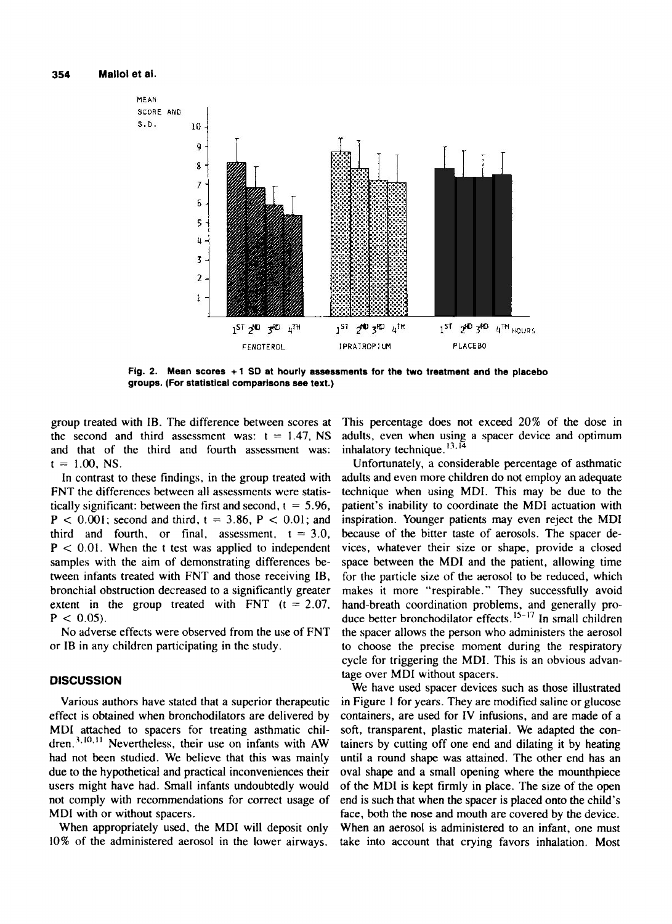

**Fig. 2. Mean scores +1 SO at hourly assessments for the two treatment and the placebo groups. (For statistical comparisons see text.)** 

group treated with IB. The difference between scores at the second and third assessment was:  $t = 1.47$ , NS and that of the third and fourth assessment was:  $t = 1.00$ , NS.

In contrast to these findings, in the group treated with FNT the differences between all assessments were statistically significant: between the first and second,  $t = 5.96$ ,  $P < 0.001$ ; second and third,  $t = 3.86$ ,  $P < 0.01$ ; and third and fourth, or final, assessment,  $t = 3.0$ ,  $P < 0.01$ . When the t test was applied to independent samples with the aim of demonstrating differences between infants treated with FNT and those receiving IB, bronchial obstruction decreased to a significantly greater extent in the group treated with FNT  $(t = 2.07)$ ,  $P < 0.05$ ).

No adverse effects were observed from the use of FNT or IB in any children participating in the study.

## **DISCUSSION**

Various authors have stated that a superior therapeutic effect is obtained when bronchodilators are delivered by MDI attached to spacers for treating asthmatic chil-Nevertheless, their use on infants with AW **3.10, I <sup>1</sup>** had not been studied. We believe that this was mainly due to the hypothetical and practical inconveniences their users might have had. Small infants undoubtedly would not comply with recommendations for correct usage of MDI with or without spacers.

When appropriately used, the MDI will deposit only 10% of the administered aerosol in the lower airways.

This percentage does not exceed 20% of the dose in adults, even when using a spacer device and optimum inhalatory technique.<sup>13,14</sup>

Unfortunately, a considerable percentage of asthmatic adults and even more children do not employ an adequate technique when using MDI. This may be due to the patient's inability to coordinate the MDI actuation with inspiration. Younger patients may even reject the MDI because of the bitter taste of aerosols. The spacer devices, whatever their size or shape, provide a closed space between the MDI and the patient, allowing time for the particle size of the aerosol to be reduced, which makes it more "respirable." They successfully avoid hand-breath coordination problems, and generally produce better bronchodilator effects. **I5-l7** In small children the spacer allows the person who administers the aerosol to choose the precise moment during the respiratory cycle for triggering the MDI. This is an obvious advantage over MDI without spacers.

We have used spacer devices such as those illustrated in Figure 1 for years. They are modified saline or glucose containers, are used for IV infusions, and are made of a **soft,** transparent, plastic material. We adapted the containers by cutting off one end and dilating it by heating until a round shape was attained. The other end has an oval shape and a small opening where the mounthpiece of the MDI is kept firmly in place. The size of the open end is such that when the spacer is placed onto the child's face, both the nose and mouth are covered by the device. When an aerosol is administered to an infant, one must take into account that crying favors inhalation. Most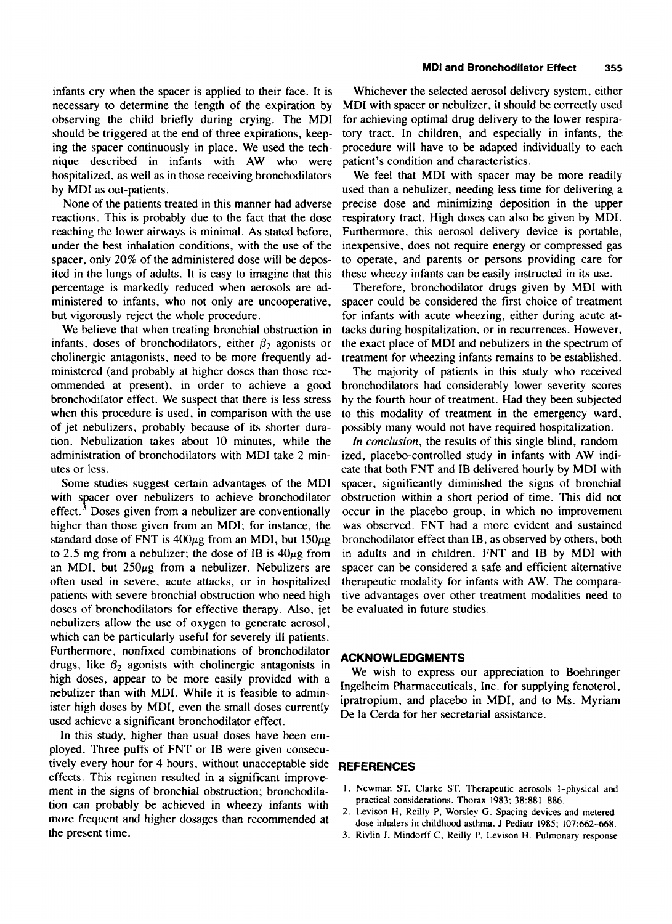infants cry when the spacer is applied to their face. It is necessary to determine the length of the expiration by observing the child briefly during crying. The MDI should be triggered at the end of three expirations, keeping the spacer continuously in place. We used the technique described in infants with AW who were hospitalized, as well as in those receiving bronchodilators by MDI as out-patients.

None of the patients treated in this manner had adverse reactions. This is probably due to the fact that the dose reaching the lower airways is minimal. As stated before, under the best inhalation conditions, with the use of the spacer, only 20% of the administered dose will be deposited in the lungs of adults. It is easy to imagine that this percentage is markedly reduced when aerosols are administered to infants, who not only are uncooperative, but vigorously reject the whole procedure.

We believe that when treating bronchial obstruction in infants, doses of bronchodilators, either  $\beta_2$  agonists or cholinergic antagonists, need to be more frequently administered (and probably at higher doses than those recommended at present), in order to achieve a good bronchodilator effect. We suspect that there is less stress when this procedure is used, in comparison with the use of jet nebulizers, probably because of its shorter duration. Nebulization takes about **10** minutes, while the administration of bronchodilators with MDI take 2 minutes or less.

Some studies suggest certain advantages of the MDI with spacer over nebulizers to achieve bronchodilator effect: Doses given from a nebulizer are conventionally higher than those given from an MDI; for instance, the standard dose of FNT is  $400\mu$ g from an MDI, but  $150\mu$ g to 2.5 mg from a nebulizer; the dose of IB is  $40\mu$ g from an MDI, but  $250\mu$ g from a nebulizer. Nebulizers are often used in severe, acute attacks, or in hospitalized patients with severe bronchial obstruction who need high doses of bronchodilators for effective therapy. Also, jet nebulizers allow the use of oxygen to generate aerosol, which can be particularly useful for severely ill patients. Furthermore, nonfixed combinations of bronchodilator drugs, like  $\beta_2$  agonists with cholinergic antagonists in high doses, appear to be more easily provided with a nebulizer than with MDI. While it is feasible to administer high doses by MDI, even the small doses currently used achieve a significant bronchodilator effect.

In this study, higher than usual doses have been employed. Three puffs of FNT or IB were given consecutively every hour for 4 hours, without unacceptable side effects. This regimen resulted in a significant improvement in the signs of bronchial obstruction; bronchodilation can probably be achieved in wheezy infants with more frequent and higher dosages than recommended at the present time.

Whichever the selected aerosol delivery system, either MDI with spacer or nebulizer, it should be correctly used for achieving optimal drug delivery to the lower respiratory tract. In children, and especially in infants, the procedure will have to be adapted individually to each patient's condition and characteristics.

We feel that MDI with spacer may be more readily used than a nebulizer, needing less time for delivering a precise dose and minimizing deposition in the upper respiratory tract. High doses can also be given by MDI. Furthermore, this aerosol delivery device is portable, inexpensive, does not require energy or compressed gas to operate, and parents or persons providing care for these wheezy infants can **be** easily instructed in its use.

Therefore, bronchodilator drugs given by MDI with spacer could be considered the first choice of treatment for infants with acute wheezing, either during acute attacks during hospitalization, or in recurrences. However, the exact place of MDI and nebulizers in the spectrum of treatment for wheezing infants remains to be established.

The majority of patients in this study who received bronchodilators had considerably lower severity scores by the fourth hour of treatment. Had they been subjected to this modality of treatment in the emergency ward, possibly many would not have required hospitalization.

In conclusion, the results of this single-blind, randomized, placebo-controlled study in infants with AW indicate that both FNT and IB delivered hourly by MDI with spacer, significantly diminished the signs of bronchial obstruction within a short period of time. This did not occur in the placebo group, in which no improvement was observed. FNT had a more evident and sustained bronchodilator effect than IB, as observed by others, both in adults and in children. FNT and IB by MDI with spacer can be considered a safe and efficient alternative therapeutic modality for infants with AW. The comparative advantages over other treatment modalities need to be evaluated in future studies.

### **ACKNOWLEDGMENTS**

We wish to express our appreciation to Boehringer Ingelheim Pharmaceuticals, Inc. for supplying fenoterol, ipratropium, and placebo in MDI, and to Ms. Myriam De la Cerda for her secretarial assistance.

## **REFERENCES**

- **I. Newman ST. Clarke ST. Therapeutic aerosols I-physical and practical considerations. Thorax 1983; 38:881-886.**
- **2. Levison H, Reilly P, Worsley G. Spacing devices and metered**dose inhalers in childhood asthma. J Pediatr 1985: 107:662-668.
- **3. Rivlin J, Mindorff C. Reilly P. Levison H. Pulmonary response**